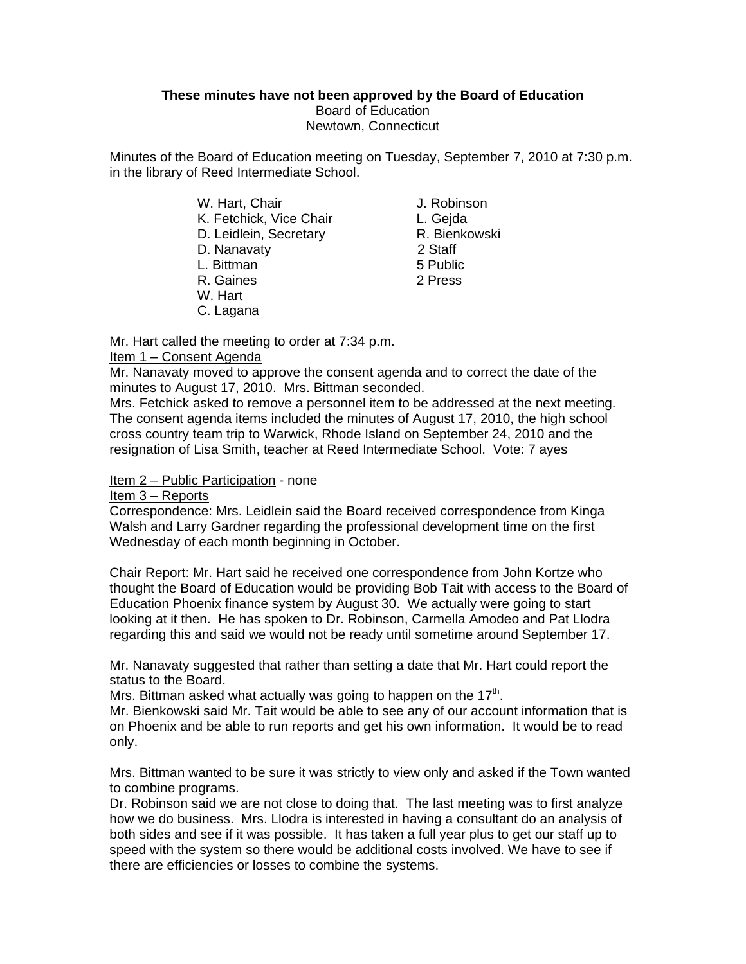# **These minutes have not been approved by the Board of Education**

Board of Education

Newtown, Connecticut

Minutes of the Board of Education meeting on Tuesday, September 7, 2010 at 7:30 p.m. in the library of Reed Intermediate School.

- W. Hart, Chair **J. Robinson** K. Fetchick, Vice Chair L. Gejda D. Leidlein, Secretary **R. Bienkowski** D. Nanavaty 2 Staff L. Bittman 5 Public
- R. Gaines 2 Press
- W. Hart
- C. Lagana

Mr. Hart called the meeting to order at 7:34 p.m.

## Item 1 – Consent Agenda

Mr. Nanavaty moved to approve the consent agenda and to correct the date of the minutes to August 17, 2010. Mrs. Bittman seconded.

Mrs. Fetchick asked to remove a personnel item to be addressed at the next meeting. The consent agenda items included the minutes of August 17, 2010, the high school cross country team trip to Warwick, Rhode Island on September 24, 2010 and the resignation of Lisa Smith, teacher at Reed Intermediate School. Vote: 7 ayes

## Item 2 – Public Participation - none

Item 3 – Reports

Correspondence: Mrs. Leidlein said the Board received correspondence from Kinga Walsh and Larry Gardner regarding the professional development time on the first Wednesday of each month beginning in October.

Chair Report: Mr. Hart said he received one correspondence from John Kortze who thought the Board of Education would be providing Bob Tait with access to the Board of Education Phoenix finance system by August 30. We actually were going to start looking at it then. He has spoken to Dr. Robinson, Carmella Amodeo and Pat Llodra regarding this and said we would not be ready until sometime around September 17.

Mr. Nanavaty suggested that rather than setting a date that Mr. Hart could report the status to the Board.

Mrs. Bittman asked what actually was going to happen on the  $17<sup>th</sup>$ .

Mr. Bienkowski said Mr. Tait would be able to see any of our account information that is on Phoenix and be able to run reports and get his own information. It would be to read only.

Mrs. Bittman wanted to be sure it was strictly to view only and asked if the Town wanted to combine programs.

Dr. Robinson said we are not close to doing that. The last meeting was to first analyze how we do business. Mrs. Llodra is interested in having a consultant do an analysis of both sides and see if it was possible. It has taken a full year plus to get our staff up to speed with the system so there would be additional costs involved. We have to see if there are efficiencies or losses to combine the systems.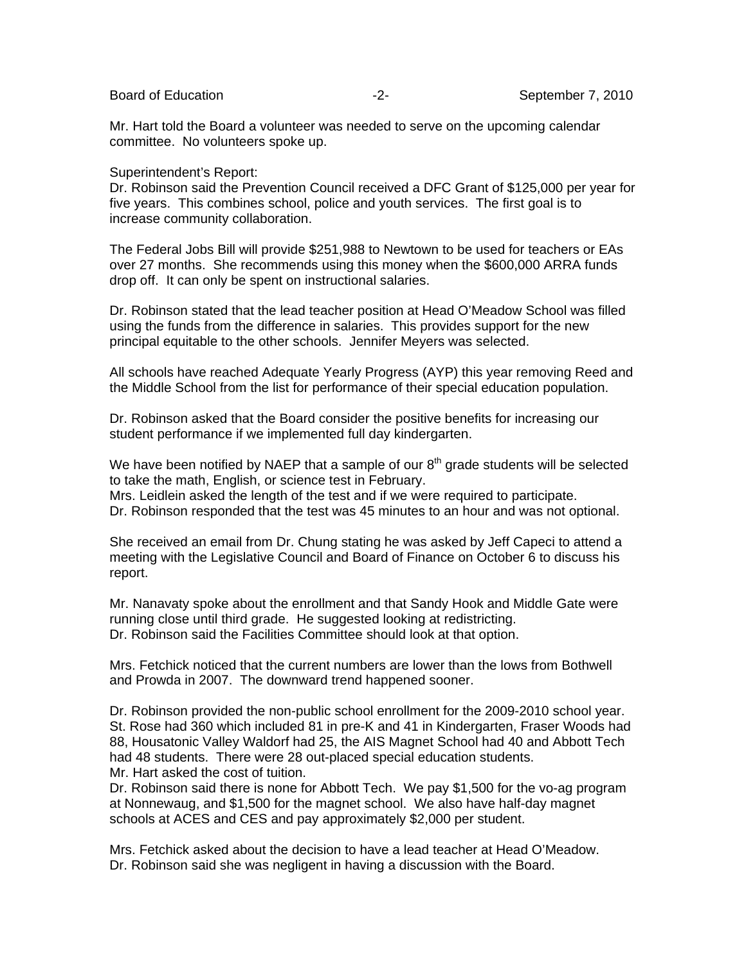Mr. Hart told the Board a volunteer was needed to serve on the upcoming calendar committee. No volunteers spoke up.

### Superintendent's Report:

Dr. Robinson said the Prevention Council received a DFC Grant of \$125,000 per year for five years. This combines school, police and youth services. The first goal is to increase community collaboration.

The Federal Jobs Bill will provide \$251,988 to Newtown to be used for teachers or EAs over 27 months. She recommends using this money when the \$600,000 ARRA funds drop off. It can only be spent on instructional salaries.

Dr. Robinson stated that the lead teacher position at Head O'Meadow School was filled using the funds from the difference in salaries. This provides support for the new principal equitable to the other schools. Jennifer Meyers was selected.

All schools have reached Adequate Yearly Progress (AYP) this year removing Reed and the Middle School from the list for performance of their special education population.

Dr. Robinson asked that the Board consider the positive benefits for increasing our student performance if we implemented full day kindergarten.

We have been notified by NAEP that a sample of our  $8<sup>th</sup>$  grade students will be selected to take the math, English, or science test in February.

Mrs. Leidlein asked the length of the test and if we were required to participate.

Dr. Robinson responded that the test was 45 minutes to an hour and was not optional.

She received an email from Dr. Chung stating he was asked by Jeff Capeci to attend a meeting with the Legislative Council and Board of Finance on October 6 to discuss his report.

Mr. Nanavaty spoke about the enrollment and that Sandy Hook and Middle Gate were running close until third grade. He suggested looking at redistricting. Dr. Robinson said the Facilities Committee should look at that option.

Mrs. Fetchick noticed that the current numbers are lower than the lows from Bothwell and Prowda in 2007. The downward trend happened sooner.

Dr. Robinson provided the non-public school enrollment for the 2009-2010 school year. St. Rose had 360 which included 81 in pre-K and 41 in Kindergarten, Fraser Woods had 88, Housatonic Valley Waldorf had 25, the AIS Magnet School had 40 and Abbott Tech had 48 students. There were 28 out-placed special education students. Mr. Hart asked the cost of tuition.

Dr. Robinson said there is none for Abbott Tech. We pay \$1,500 for the vo-ag program at Nonnewaug, and \$1,500 for the magnet school. We also have half-day magnet schools at ACES and CES and pay approximately \$2,000 per student.

Mrs. Fetchick asked about the decision to have a lead teacher at Head O'Meadow. Dr. Robinson said she was negligent in having a discussion with the Board.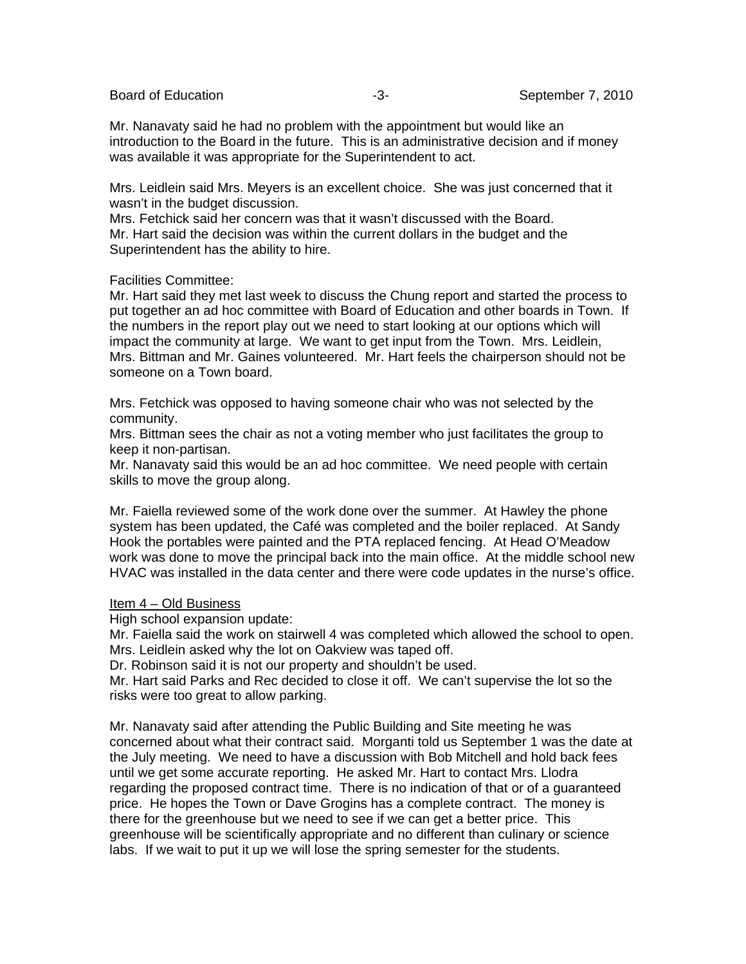Mr. Nanavaty said he had no problem with the appointment but would like an introduction to the Board in the future. This is an administrative decision and if money was available it was appropriate for the Superintendent to act.

Mrs. Leidlein said Mrs. Meyers is an excellent choice. She was just concerned that it wasn't in the budget discussion.

Mrs. Fetchick said her concern was that it wasn't discussed with the Board. Mr. Hart said the decision was within the current dollars in the budget and the Superintendent has the ability to hire.

### Facilities Committee:

Mr. Hart said they met last week to discuss the Chung report and started the process to put together an ad hoc committee with Board of Education and other boards in Town. If the numbers in the report play out we need to start looking at our options which will impact the community at large. We want to get input from the Town. Mrs. Leidlein, Mrs. Bittman and Mr. Gaines volunteered. Mr. Hart feels the chairperson should not be someone on a Town board.

Mrs. Fetchick was opposed to having someone chair who was not selected by the community.

Mrs. Bittman sees the chair as not a voting member who just facilitates the group to keep it non-partisan.

Mr. Nanavaty said this would be an ad hoc committee. We need people with certain skills to move the group along.

Mr. Faiella reviewed some of the work done over the summer. At Hawley the phone system has been updated, the Café was completed and the boiler replaced. At Sandy Hook the portables were painted and the PTA replaced fencing. At Head O'Meadow work was done to move the principal back into the main office. At the middle school new HVAC was installed in the data center and there were code updates in the nurse's office.

### Item 4 – Old Business

High school expansion update:

Mr. Faiella said the work on stairwell 4 was completed which allowed the school to open. Mrs. Leidlein asked why the lot on Oakview was taped off.

Dr. Robinson said it is not our property and shouldn't be used.

Mr. Hart said Parks and Rec decided to close it off. We can't supervise the lot so the risks were too great to allow parking.

Mr. Nanavaty said after attending the Public Building and Site meeting he was concerned about what their contract said. Morganti told us September 1 was the date at the July meeting. We need to have a discussion with Bob Mitchell and hold back fees until we get some accurate reporting. He asked Mr. Hart to contact Mrs. Llodra regarding the proposed contract time. There is no indication of that or of a guaranteed price. He hopes the Town or Dave Grogins has a complete contract. The money is there for the greenhouse but we need to see if we can get a better price. This greenhouse will be scientifically appropriate and no different than culinary or science labs. If we wait to put it up we will lose the spring semester for the students.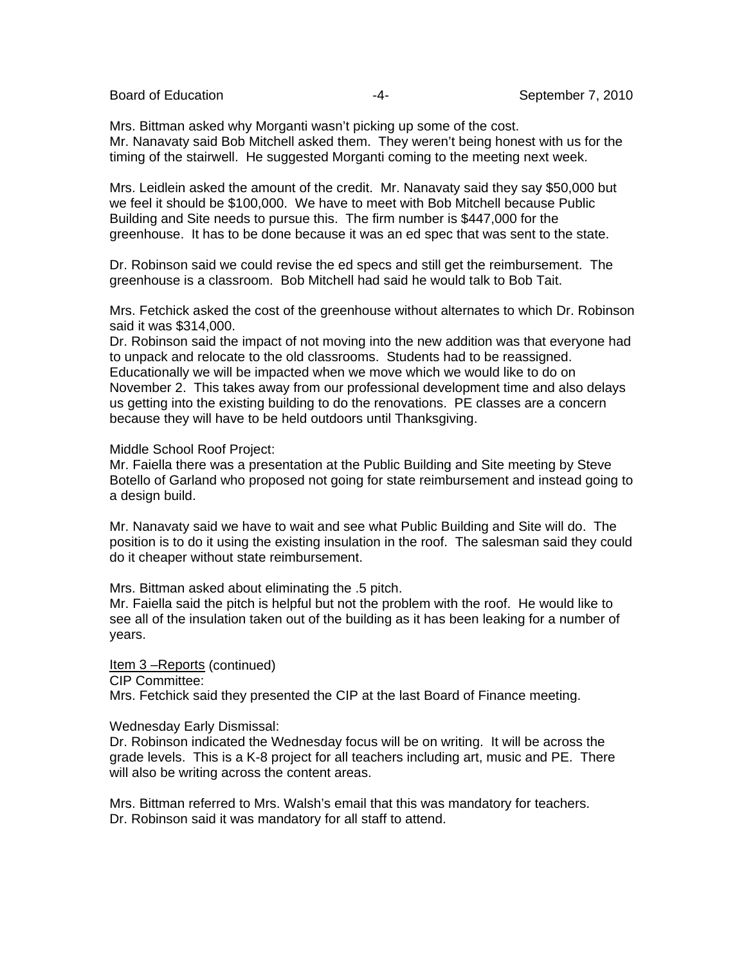Mrs. Bittman asked why Morganti wasn't picking up some of the cost. Mr. Nanavaty said Bob Mitchell asked them. They weren't being honest with us for the timing of the stairwell. He suggested Morganti coming to the meeting next week.

Mrs. Leidlein asked the amount of the credit. Mr. Nanavaty said they say \$50,000 but we feel it should be \$100,000. We have to meet with Bob Mitchell because Public Building and Site needs to pursue this. The firm number is \$447,000 for the greenhouse. It has to be done because it was an ed spec that was sent to the state.

Dr. Robinson said we could revise the ed specs and still get the reimbursement. The greenhouse is a classroom. Bob Mitchell had said he would talk to Bob Tait.

Mrs. Fetchick asked the cost of the greenhouse without alternates to which Dr. Robinson said it was \$314,000.

Dr. Robinson said the impact of not moving into the new addition was that everyone had to unpack and relocate to the old classrooms. Students had to be reassigned. Educationally we will be impacted when we move which we would like to do on November 2. This takes away from our professional development time and also delays us getting into the existing building to do the renovations. PE classes are a concern because they will have to be held outdoors until Thanksgiving.

Middle School Roof Project:

Mr. Faiella there was a presentation at the Public Building and Site meeting by Steve Botello of Garland who proposed not going for state reimbursement and instead going to a design build.

Mr. Nanavaty said we have to wait and see what Public Building and Site will do. The position is to do it using the existing insulation in the roof. The salesman said they could do it cheaper without state reimbursement.

Mrs. Bittman asked about eliminating the .5 pitch.

Mr. Faiella said the pitch is helpful but not the problem with the roof. He would like to see all of the insulation taken out of the building as it has been leaking for a number of years.

Item 3 –Reports (continued) CIP Committee: Mrs. Fetchick said they presented the CIP at the last Board of Finance meeting.

Wednesday Early Dismissal:

Dr. Robinson indicated the Wednesday focus will be on writing. It will be across the grade levels. This is a K-8 project for all teachers including art, music and PE. There will also be writing across the content areas.

Mrs. Bittman referred to Mrs. Walsh's email that this was mandatory for teachers. Dr. Robinson said it was mandatory for all staff to attend.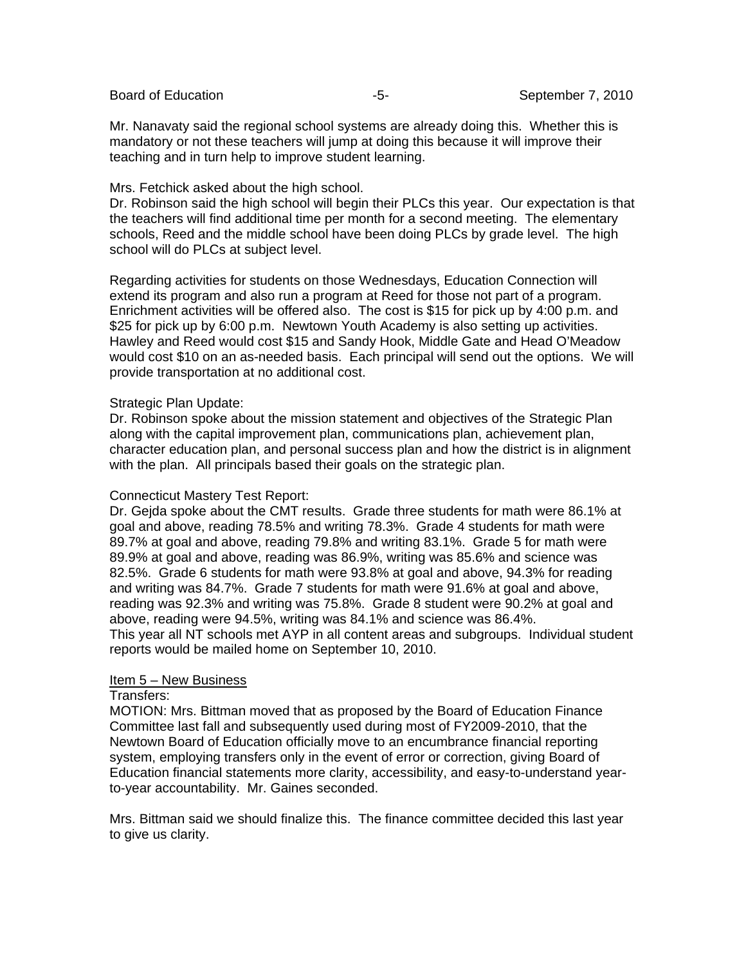Mr. Nanavaty said the regional school systems are already doing this. Whether this is mandatory or not these teachers will jump at doing this because it will improve their teaching and in turn help to improve student learning.

### Mrs. Fetchick asked about the high school.

Dr. Robinson said the high school will begin their PLCs this year. Our expectation is that the teachers will find additional time per month for a second meeting. The elementary schools, Reed and the middle school have been doing PLCs by grade level. The high school will do PLCs at subject level.

Regarding activities for students on those Wednesdays, Education Connection will extend its program and also run a program at Reed for those not part of a program. Enrichment activities will be offered also. The cost is \$15 for pick up by 4:00 p.m. and \$25 for pick up by 6:00 p.m. Newtown Youth Academy is also setting up activities. Hawley and Reed would cost \$15 and Sandy Hook, Middle Gate and Head O'Meadow would cost \$10 on an as-needed basis. Each principal will send out the options. We will provide transportation at no additional cost.

## Strategic Plan Update:

Dr. Robinson spoke about the mission statement and objectives of the Strategic Plan along with the capital improvement plan, communications plan, achievement plan, character education plan, and personal success plan and how the district is in alignment with the plan. All principals based their goals on the strategic plan.

# Connecticut Mastery Test Report:

Dr. Geida spoke about the CMT results. Grade three students for math were 86.1% at goal and above, reading 78.5% and writing 78.3%. Grade 4 students for math were 89.7% at goal and above, reading 79.8% and writing 83.1%. Grade 5 for math were 89.9% at goal and above, reading was 86.9%, writing was 85.6% and science was 82.5%. Grade 6 students for math were 93.8% at goal and above, 94.3% for reading and writing was 84.7%. Grade 7 students for math were 91.6% at goal and above, reading was 92.3% and writing was 75.8%. Grade 8 student were 90.2% at goal and above, reading were 94.5%, writing was 84.1% and science was 86.4%. This year all NT schools met AYP in all content areas and subgroups. Individual student reports would be mailed home on September 10, 2010.

### Item 5 – New Business

## Transfers:

MOTION: Mrs. Bittman moved that as proposed by the Board of Education Finance Committee last fall and subsequently used during most of FY2009-2010, that the Newtown Board of Education officially move to an encumbrance financial reporting system, employing transfers only in the event of error or correction, giving Board of Education financial statements more clarity, accessibility, and easy-to-understand yearto-year accountability. Mr. Gaines seconded.

Mrs. Bittman said we should finalize this. The finance committee decided this last year to give us clarity.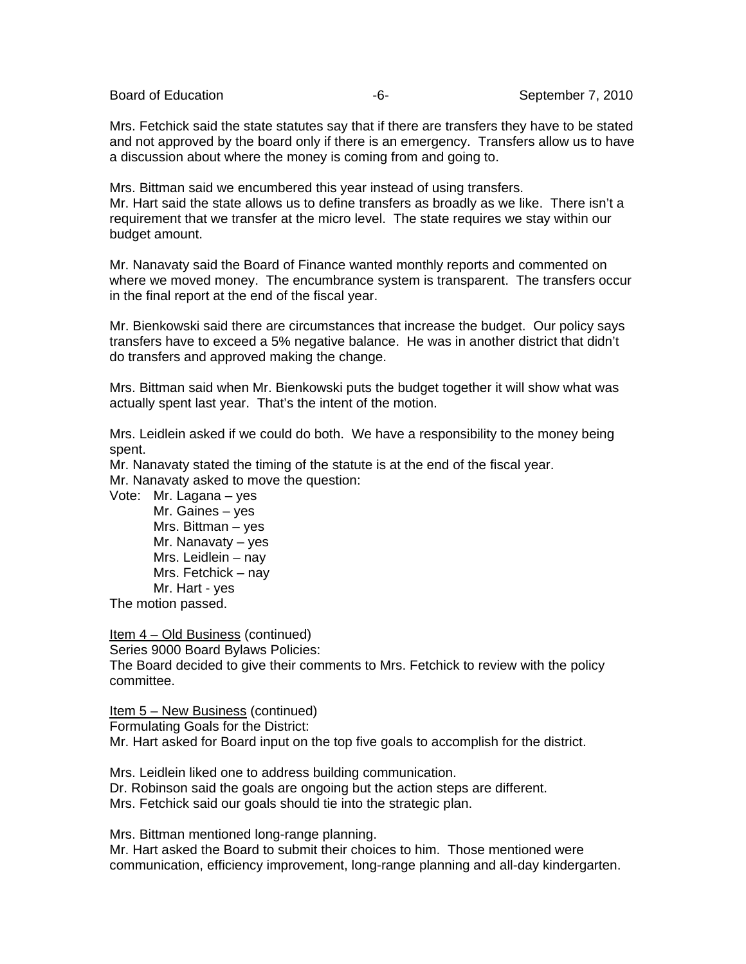Mrs. Fetchick said the state statutes say that if there are transfers they have to be stated and not approved by the board only if there is an emergency. Transfers allow us to have a discussion about where the money is coming from and going to.

Mrs. Bittman said we encumbered this year instead of using transfers. Mr. Hart said the state allows us to define transfers as broadly as we like. There isn't a requirement that we transfer at the micro level. The state requires we stay within our budget amount.

Mr. Nanavaty said the Board of Finance wanted monthly reports and commented on where we moved money. The encumbrance system is transparent. The transfers occur in the final report at the end of the fiscal year.

Mr. Bienkowski said there are circumstances that increase the budget. Our policy says transfers have to exceed a 5% negative balance. He was in another district that didn't do transfers and approved making the change.

Mrs. Bittman said when Mr. Bienkowski puts the budget together it will show what was actually spent last year. That's the intent of the motion.

Mrs. Leidlein asked if we could do both. We have a responsibility to the money being spent.

Mr. Nanavaty stated the timing of the statute is at the end of the fiscal year. Mr. Nanavaty asked to move the question:

Vote: Mr. Lagana – yes

Mr. Gaines – yes Mrs. Bittman – yes Mr. Nanavaty – yes Mrs. Leidlein – nay Mrs. Fetchick – nay Mr. Hart - yes

The motion passed.

Item 4 – Old Business (continued) Series 9000 Board Bylaws Policies: The Board decided to give their comments to Mrs. Fetchick to review with the policy committee.

Item 5 – New Business (continued) Formulating Goals for the District: Mr. Hart asked for Board input on the top five goals to accomplish for the district.

Mrs. Leidlein liked one to address building communication. Dr. Robinson said the goals are ongoing but the action steps are different. Mrs. Fetchick said our goals should tie into the strategic plan.

Mrs. Bittman mentioned long-range planning.

Mr. Hart asked the Board to submit their choices to him. Those mentioned were communication, efficiency improvement, long-range planning and all-day kindergarten.